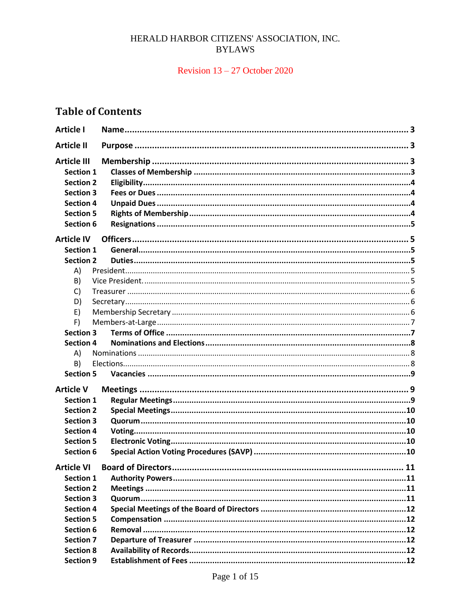## HERALD HARBOR CITIZENS' ASSOCIATION, INC. **BYLAWS**

## Revision  $13 - 27$  October 2020

# **Table of Contents**

| <b>Article I</b>                                                                                                                    |  |
|-------------------------------------------------------------------------------------------------------------------------------------|--|
| <b>Article II</b>                                                                                                                   |  |
| <b>Article III</b><br><b>Section 1</b><br><b>Section 2</b><br><b>Section 3</b><br><b>Section 4</b><br><b>Section 5</b><br>Section 6 |  |
| <b>Article IV</b>                                                                                                                   |  |
| <b>Section 1</b>                                                                                                                    |  |
| <b>Section 2</b>                                                                                                                    |  |
| A)                                                                                                                                  |  |
| B)                                                                                                                                  |  |
| C)                                                                                                                                  |  |
| D)                                                                                                                                  |  |
| E)                                                                                                                                  |  |
| F)                                                                                                                                  |  |
| <b>Section 3</b>                                                                                                                    |  |
| <b>Section 4</b>                                                                                                                    |  |
| A)                                                                                                                                  |  |
| B)                                                                                                                                  |  |
| <b>Section 5</b>                                                                                                                    |  |
| <b>Article V</b>                                                                                                                    |  |
| <b>Section 1</b>                                                                                                                    |  |
| <b>Section 2</b>                                                                                                                    |  |
| <b>Section 3</b>                                                                                                                    |  |
| <b>Section 4</b>                                                                                                                    |  |
| <b>Section 5</b>                                                                                                                    |  |
| <b>Section 6</b>                                                                                                                    |  |
| <b>Article VI</b>                                                                                                                   |  |
| <b>Section 1</b>                                                                                                                    |  |
| <b>Section 2</b>                                                                                                                    |  |
| <b>Section 3</b>                                                                                                                    |  |
| <b>Section 4</b>                                                                                                                    |  |
| <b>Section 5</b>                                                                                                                    |  |
| Section 6                                                                                                                           |  |
| <b>Section 7</b>                                                                                                                    |  |
| <b>Section 8</b>                                                                                                                    |  |
| <b>Section 9</b>                                                                                                                    |  |
|                                                                                                                                     |  |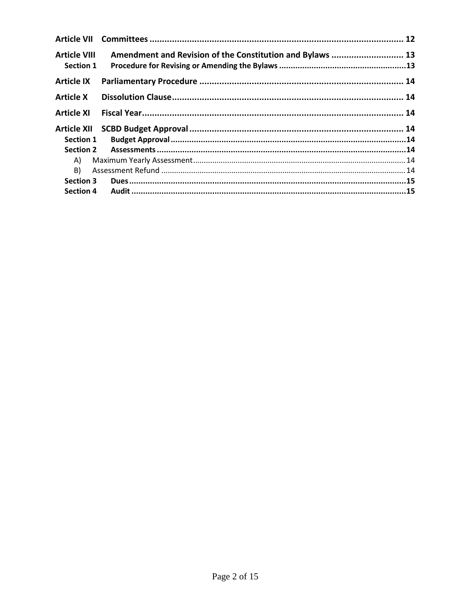| <b>Article VIII</b><br><b>Section 1</b> | Amendment and Revision of the Constitution and Bylaws  13 |  |
|-----------------------------------------|-----------------------------------------------------------|--|
| <b>Article IX</b>                       |                                                           |  |
| <b>Article X</b>                        |                                                           |  |
| <b>Article XI</b>                       |                                                           |  |
|                                         |                                                           |  |
| <b>Section 2</b>                        |                                                           |  |
| A)                                      |                                                           |  |
| B)                                      |                                                           |  |
| <b>Section 3</b>                        |                                                           |  |
| <b>Section 4</b>                        |                                                           |  |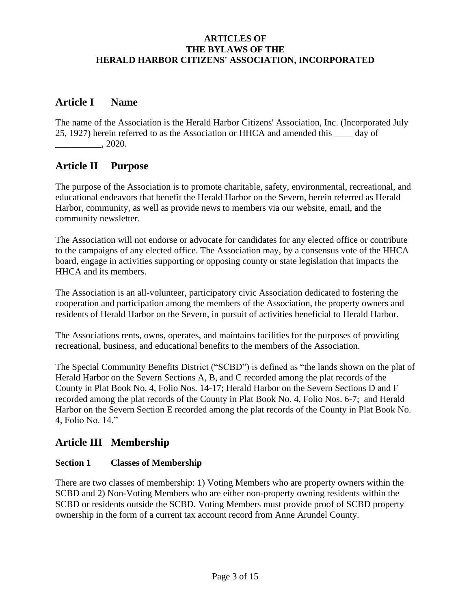## **ARTICLES OF THE BYLAWS OF THE HERALD HARBOR CITIZENS' ASSOCIATION, INCORPORATED**

## <span id="page-2-0"></span>**Article I Name**

The name of the Association is the Herald Harbor Citizens' Association, Inc. (Incorporated July 25, 1927) herein referred to as the Association or HHCA and amended this \_\_\_\_ day of  $.2020.$ 

## <span id="page-2-1"></span>**Article II Purpose**

The purpose of the Association is to promote charitable, safety, environmental, recreational, and educational endeavors that benefit the Herald Harbor on the Severn, herein referred as Herald Harbor, community, as well as provide news to members via our website, email, and the community newsletter.

The Association will not endorse or advocate for candidates for any elected office or contribute to the campaigns of any elected office. The Association may, by a consensus vote of the HHCA board, engage in activities supporting or opposing county or state legislation that impacts the HHCA and its members.

The Association is an all-volunteer, participatory civic Association dedicated to fostering the cooperation and participation among the members of the Association, the property owners and residents of Herald Harbor on the Severn, in pursuit of activities beneficial to Herald Harbor.

The Associations rents, owns, operates, and maintains facilities for the purposes of providing recreational, business, and educational benefits to the members of the Association.

The Special Community Benefits District ("SCBD") is defined as "the lands shown on the plat of Herald Harbor on the Severn Sections A, B, and C recorded among the plat records of the County in Plat Book No. 4, Folio Nos. 14-17; Herald Harbor on the Severn Sections D and F recorded among the plat records of the County in Plat Book No. 4, Folio Nos. 6-7; and Herald Harbor on the Severn Section E recorded among the plat records of the County in Plat Book No. 4, Folio No. 14."

# <span id="page-2-2"></span>**Article III Membership**

## <span id="page-2-3"></span>**Section 1 Classes of Membership**

There are two classes of membership: 1) Voting Members who are property owners within the SCBD and 2) Non-Voting Members who are either non-property owning residents within the SCBD or residents outside the SCBD. Voting Members must provide proof of SCBD property ownership in the form of a current tax account record from Anne Arundel County.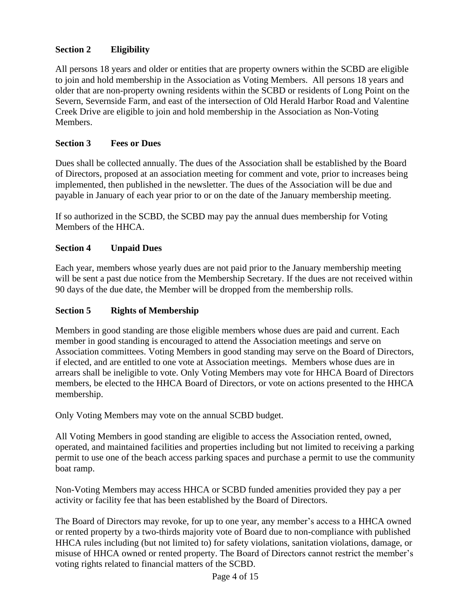## <span id="page-3-0"></span>**Section 2 Eligibility**

All persons 18 years and older or entities that are property owners within the SCBD are eligible to join and hold membership in the Association as Voting Members. All persons 18 years and older that are non-property owning residents within the SCBD or residents of Long Point on the Severn, Severnside Farm, and east of the intersection of Old Herald Harbor Road and Valentine Creek Drive are eligible to join and hold membership in the Association as Non-Voting Members.

## <span id="page-3-1"></span>**Section 3 Fees or Dues**

Dues shall be collected annually. The dues of the Association shall be established by the Board of Directors, proposed at an association meeting for comment and vote, prior to increases being implemented, then published in the newsletter. The dues of the Association will be due and payable in January of each year prior to or on the date of the January membership meeting.

If so authorized in the SCBD, the SCBD may pay the annual dues membership for Voting Members of the HHCA.

## <span id="page-3-2"></span>**Section 4 Unpaid Dues**

Each year, members whose yearly dues are not paid prior to the January membership meeting will be sent a past due notice from the Membership Secretary. If the dues are not received within 90 days of the due date, the Member will be dropped from the membership rolls.

## <span id="page-3-3"></span>**Section 5 Rights of Membership**

Members in good standing are those eligible members whose dues are paid and current. Each member in good standing is encouraged to attend the Association meetings and serve on Association committees. Voting Members in good standing may serve on the Board of Directors, if elected, and are entitled to one vote at Association meetings. Members whose dues are in arrears shall be ineligible to vote. Only Voting Members may vote for HHCA Board of Directors members, be elected to the HHCA Board of Directors, or vote on actions presented to the HHCA membership.

Only Voting Members may vote on the annual SCBD budget.

All Voting Members in good standing are eligible to access the Association rented, owned, operated, and maintained facilities and properties including but not limited to receiving a parking permit to use one of the beach access parking spaces and purchase a permit to use the community boat ramp.

Non-Voting Members may access HHCA or SCBD funded amenities provided they pay a per activity or facility fee that has been established by the Board of Directors.

The Board of Directors may revoke, for up to one year, any member's access to a HHCA owned or rented property by a two-thirds majority vote of Board due to non-compliance with published HHCA rules including (but not limited to) for safety violations, sanitation violations, damage, or misuse of HHCA owned or rented property. The Board of Directors cannot restrict the member's voting rights related to financial matters of the SCBD.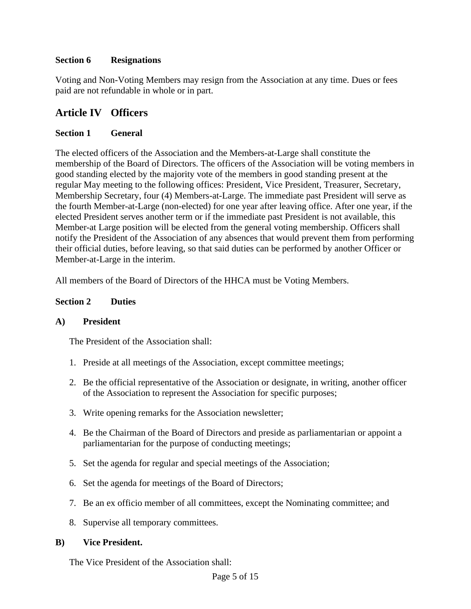## <span id="page-4-0"></span>**Section 6 Resignations**

Voting and Non-Voting Members may resign from the Association at any time. Dues or fees paid are not refundable in whole or in part.

## <span id="page-4-1"></span>**Article IV Officers**

## <span id="page-4-2"></span>**Section 1 General**

The elected officers of the Association and the Members-at-Large shall constitute the membership of the Board of Directors. The officers of the Association will be voting members in good standing elected by the majority vote of the members in good standing present at the regular May meeting to the following offices: President, Vice President, Treasurer, Secretary, Membership Secretary, four (4) Members-at-Large. The immediate past President will serve as the fourth Member-at-Large (non-elected) for one year after leaving office. After one year, if the elected President serves another term or if the immediate past President is not available, this Member-at Large position will be elected from the general voting membership. Officers shall notify the President of the Association of any absences that would prevent them from performing their official duties, before leaving, so that said duties can be performed by another Officer or Member-at-Large in the interim.

All members of the Board of Directors of the HHCA must be Voting Members.

## <span id="page-4-3"></span>**Section 2 Duties**

## <span id="page-4-4"></span>**A) President**

The President of the Association shall:

- 1. Preside at all meetings of the Association, except committee meetings;
- 2. Be the official representative of the Association or designate, in writing, another officer of the Association to represent the Association for specific purposes;
- 3. Write opening remarks for the Association newsletter;
- 4. Be the Chairman of the Board of Directors and preside as parliamentarian or appoint a parliamentarian for the purpose of conducting meetings;
- 5. Set the agenda for regular and special meetings of the Association;
- 6. Set the agenda for meetings of the Board of Directors;
- 7. Be an ex officio member of all committees, except the Nominating committee; and
- 8. Supervise all temporary committees.

## <span id="page-4-5"></span>**B) Vice President.**

The Vice President of the Association shall: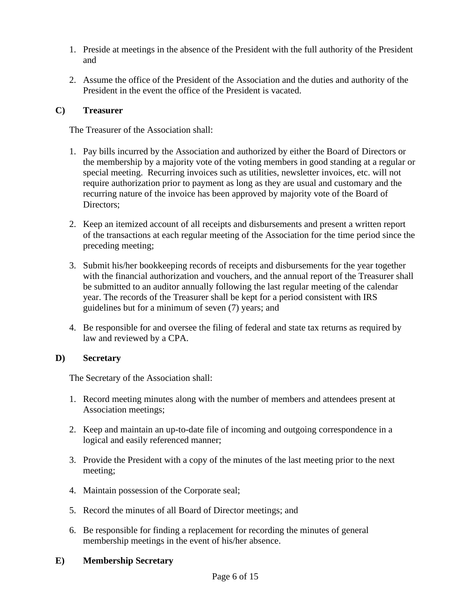- 1. Preside at meetings in the absence of the President with the full authority of the President and
- 2. Assume the office of the President of the Association and the duties and authority of the President in the event the office of the President is vacated.

#### <span id="page-5-0"></span>**C) Treasurer**

The Treasurer of the Association shall:

- 1. Pay bills incurred by the Association and authorized by either the Board of Directors or the membership by a majority vote of the voting members in good standing at a regular or special meeting. Recurring invoices such as utilities, newsletter invoices, etc. will not require authorization prior to payment as long as they are usual and customary and the recurring nature of the invoice has been approved by majority vote of the Board of Directors;
- 2. Keep an itemized account of all receipts and disbursements and present a written report of the transactions at each regular meeting of the Association for the time period since the preceding meeting;
- 3. Submit his/her bookkeeping records of receipts and disbursements for the year together with the financial authorization and vouchers, and the annual report of the Treasurer shall be submitted to an auditor annually following the last regular meeting of the calendar year. The records of the Treasurer shall be kept for a period consistent with IRS guidelines but for a minimum of seven (7) years; and
- 4. Be responsible for and oversee the filing of federal and state tax returns as required by law and reviewed by a CPA.

## <span id="page-5-1"></span>**D) Secretary**

The Secretary of the Association shall:

- 1. Record meeting minutes along with the number of members and attendees present at Association meetings;
- 2. Keep and maintain an up-to-date file of incoming and outgoing correspondence in a logical and easily referenced manner;
- 3. Provide the President with a copy of the minutes of the last meeting prior to the next meeting;
- 4. Maintain possession of the Corporate seal;
- 5. Record the minutes of all Board of Director meetings; and
- 6. Be responsible for finding a replacement for recording the minutes of general membership meetings in the event of his/her absence.

#### <span id="page-5-2"></span>**E) Membership Secretary**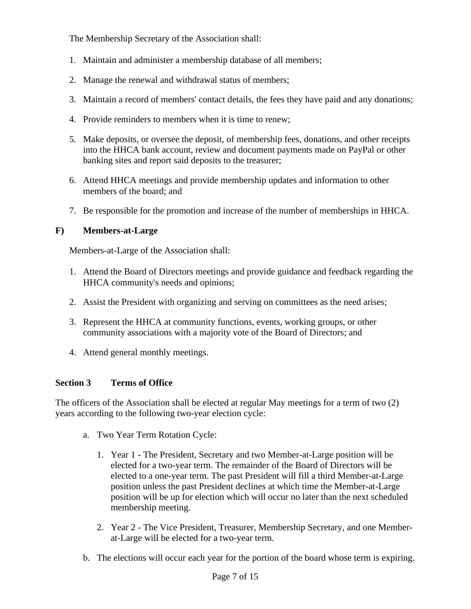The Membership Secretary of the Association shall:

- 1. Maintain and administer a membership database of all members;
- 2. Manage the renewal and withdrawal status of members;
- 3. Maintain a record of members' contact details, the fees they have paid and any donations;
- 4. Provide reminders to members when it is time to renew;
- 5. Make deposits, or oversee the deposit, of membership fees, donations, and other receipts into the HHCA bank account, review and document payments made on PayPal or other banking sites and report said deposits to the treasurer;
- 6. Attend HHCA meetings and provide membership updates and information to other members of the board; and
- 7. Be responsible for the promotion and increase of the number of memberships in HHCA.

## <span id="page-6-0"></span>**F) Members-at-Large**

Members-at-Large of the Association shall:

- 1. Attend the Board of Directors meetings and provide guidance and feedback regarding the HHCA community's needs and opinions;
- 2. Assist the President with organizing and serving on committees as the need arises;
- 3. Represent the HHCA at community functions, events, working groups, or other community associations with a majority vote of the Board of Directors; and
- 4. Attend general monthly meetings.

## <span id="page-6-1"></span>**Section 3 Terms of Office**

The officers of the Association shall be elected at regular May meetings for a term of two (2) years according to the following two-year election cycle:

- a. Two Year Term Rotation Cycle:
	- 1. Year 1 The President, Secretary and two Member-at-Large position will be elected for a two-year term. The remainder of the Board of Directors will be elected to a one-year term. The past President will fill a third Member-at-Large position unless the past President declines at which time the Member-at-Large position will be up for election which will occur no later than the next scheduled membership meeting.
	- 2. Year 2 The Vice President, Treasurer, Membership Secretary, and one Memberat-Large will be elected for a two-year term.
- b. The elections will occur each year for the portion of the board whose term is expiring.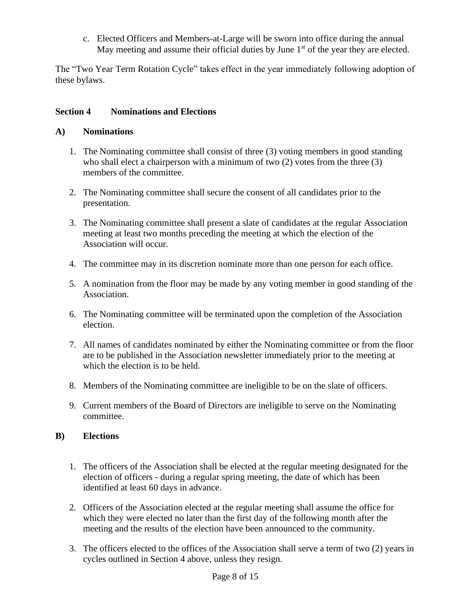c. Elected Officers and Members-at-Large will be sworn into office during the annual May meeting and assume their official duties by June  $1<sup>st</sup>$  of the year they are elected.

The "Two Year Term Rotation Cycle" takes effect in the year immediately following adoption of these bylaws.

## <span id="page-7-0"></span>**Section 4 Nominations and Elections**

## <span id="page-7-1"></span>**A) Nominations**

- 1. The Nominating committee shall consist of three (3) voting members in good standing who shall elect a chairperson with a minimum of two (2) votes from the three (3) members of the committee.
- 2. The Nominating committee shall secure the consent of all candidates prior to the presentation.
- 3. The Nominating committee shall present a slate of candidates at the regular Association meeting at least two months preceding the meeting at which the election of the Association will occur.
- 4. The committee may in its discretion nominate more than one person for each office.
- 5. A nomination from the floor may be made by any voting member in good standing of the Association.
- 6. The Nominating committee will be terminated upon the completion of the Association election.
- 7. All names of candidates nominated by either the Nominating committee or from the floor are to be published in the Association newsletter immediately prior to the meeting at which the election is to be held.
- 8. Members of the Nominating committee are ineligible to be on the slate of officers.
- 9. Current members of the Board of Directors are ineligible to serve on the Nominating committee.

## <span id="page-7-2"></span>**B) Elections**

- 1. The officers of the Association shall be elected at the regular meeting designated for the election of officers - during a regular spring meeting, the date of which has been identified at least 60 days in advance.
- 2. Officers of the Association elected at the regular meeting shall assume the office for which they were elected no later than the first day of the following month after the meeting and the results of the election have been announced to the community.
- 3. The officers elected to the offices of the Association shall serve a term of two (2) years in cycles outlined in Section 4 above, unless they resign.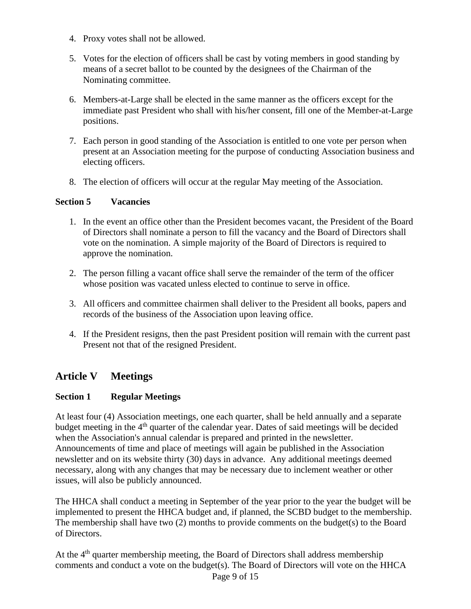- 4. Proxy votes shall not be allowed.
- 5. Votes for the election of officers shall be cast by voting members in good standing by means of a secret ballot to be counted by the designees of the Chairman of the Nominating committee.
- 6. Members-at-Large shall be elected in the same manner as the officers except for the immediate past President who shall with his/her consent, fill one of the Member-at-Large positions.
- 7. Each person in good standing of the Association is entitled to one vote per person when present at an Association meeting for the purpose of conducting Association business and electing officers.
- 8. The election of officers will occur at the regular May meeting of the Association.

#### <span id="page-8-0"></span>**Section 5 Vacancies**

- 1. In the event an office other than the President becomes vacant, the President of the Board of Directors shall nominate a person to fill the vacancy and the Board of Directors shall vote on the nomination. A simple majority of the Board of Directors is required to approve the nomination.
- 2. The person filling a vacant office shall serve the remainder of the term of the officer whose position was vacated unless elected to continue to serve in office.
- 3. All officers and committee chairmen shall deliver to the President all books, papers and records of the business of the Association upon leaving office.
- 4. If the President resigns, then the past President position will remain with the current past Present not that of the resigned President.

# <span id="page-8-1"></span>**Article V Meetings**

## <span id="page-8-2"></span>**Section 1 Regular Meetings**

At least four (4) Association meetings, one each quarter, shall be held annually and a separate budget meeting in the 4<sup>th</sup> quarter of the calendar year. Dates of said meetings will be decided when the Association's annual calendar is prepared and printed in the newsletter. Announcements of time and place of meetings will again be published in the Association newsletter and on its website thirty (30) days in advance. Any additional meetings deemed necessary, along with any changes that may be necessary due to inclement weather or other issues, will also be publicly announced.

The HHCA shall conduct a meeting in September of the year prior to the year the budget will be implemented to present the HHCA budget and, if planned, the SCBD budget to the membership. The membership shall have two (2) months to provide comments on the budget(s) to the Board of Directors.

At the 4<sup>th</sup> quarter membership meeting, the Board of Directors shall address membership comments and conduct a vote on the budget(s). The Board of Directors will vote on the HHCA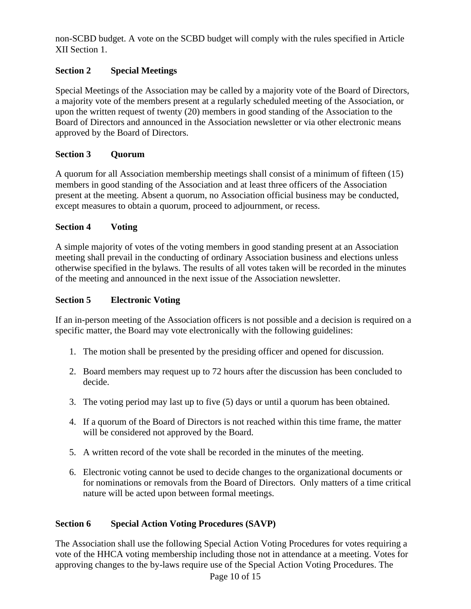non-SCBD budget. A vote on the SCBD budget will comply with the rules specified in Article XII Section 1.

## <span id="page-9-0"></span>**Section 2 Special Meetings**

Special Meetings of the Association may be called by a majority vote of the Board of Directors, a majority vote of the members present at a regularly scheduled meeting of the Association, or upon the written request of twenty (20) members in good standing of the Association to the Board of Directors and announced in the Association newsletter or via other electronic means approved by the Board of Directors.

## <span id="page-9-1"></span>**Section 3 Quorum**

A quorum for all Association membership meetings shall consist of a minimum of fifteen (15) members in good standing of the Association and at least three officers of the Association present at the meeting. Absent a quorum, no Association official business may be conducted, except measures to obtain a quorum, proceed to adjournment, or recess.

## <span id="page-9-2"></span>**Section 4 Voting**

A simple majority of votes of the voting members in good standing present at an Association meeting shall prevail in the conducting of ordinary Association business and elections unless otherwise specified in the bylaws. The results of all votes taken will be recorded in the minutes of the meeting and announced in the next issue of the Association newsletter.

## <span id="page-9-3"></span>**Section 5 Electronic Voting**

If an in-person meeting of the Association officers is not possible and a decision is required on a specific matter, the Board may vote electronically with the following guidelines:

- 1. The motion shall be presented by the presiding officer and opened for discussion.
- 2. Board members may request up to 72 hours after the discussion has been concluded to decide.
- 3. The voting period may last up to five (5) days or until a quorum has been obtained.
- 4. If a quorum of the Board of Directors is not reached within this time frame, the matter will be considered not approved by the Board.
- 5. A written record of the vote shall be recorded in the minutes of the meeting.
- 6. Electronic voting cannot be used to decide changes to the organizational documents or for nominations or removals from the Board of Directors. Only matters of a time critical nature will be acted upon between formal meetings.

# <span id="page-9-4"></span>**Section 6 Special Action Voting Procedures (SAVP)**

The Association shall use the following Special Action Voting Procedures for votes requiring a vote of the HHCA voting membership including those not in attendance at a meeting. Votes for approving changes to the by-laws require use of the Special Action Voting Procedures. The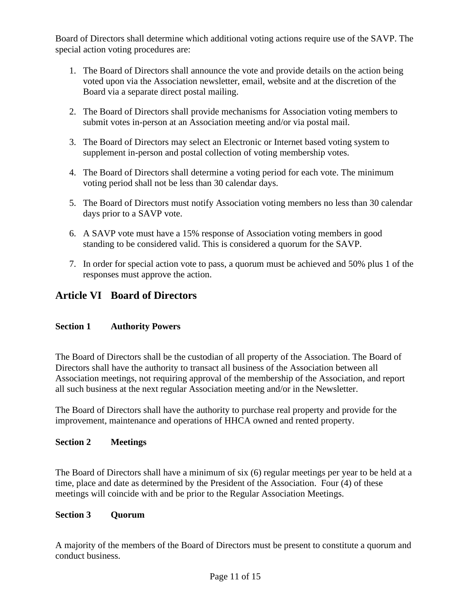Board of Directors shall determine which additional voting actions require use of the SAVP. The special action voting procedures are:

- 1. The Board of Directors shall announce the vote and provide details on the action being voted upon via the Association newsletter, email, website and at the discretion of the Board via a separate direct postal mailing.
- 2. The Board of Directors shall provide mechanisms for Association voting members to submit votes in-person at an Association meeting and/or via postal mail.
- 3. The Board of Directors may select an Electronic or Internet based voting system to supplement in-person and postal collection of voting membership votes.
- 4. The Board of Directors shall determine a voting period for each vote. The minimum voting period shall not be less than 30 calendar days.
- 5. The Board of Directors must notify Association voting members no less than 30 calendar days prior to a SAVP vote.
- 6. A SAVP vote must have a 15% response of Association voting members in good standing to be considered valid. This is considered a quorum for the SAVP.
- 7. In order for special action vote to pass, a quorum must be achieved and 50% plus 1 of the responses must approve the action.

# <span id="page-10-0"></span>**Article VI Board of Directors**

## <span id="page-10-1"></span>**Section 1 Authority Powers**

The Board of Directors shall be the custodian of all property of the Association. The Board of Directors shall have the authority to transact all business of the Association between all Association meetings, not requiring approval of the membership of the Association, and report all such business at the next regular Association meeting and/or in the Newsletter.

The Board of Directors shall have the authority to purchase real property and provide for the improvement, maintenance and operations of HHCA owned and rented property.

## <span id="page-10-2"></span>**Section 2 Meetings**

The Board of Directors shall have a minimum of six (6) regular meetings per year to be held at a time, place and date as determined by the President of the Association. Four (4) of these meetings will coincide with and be prior to the Regular Association Meetings.

## <span id="page-10-3"></span>**Section 3 Quorum**

A majority of the members of the Board of Directors must be present to constitute a quorum and conduct business.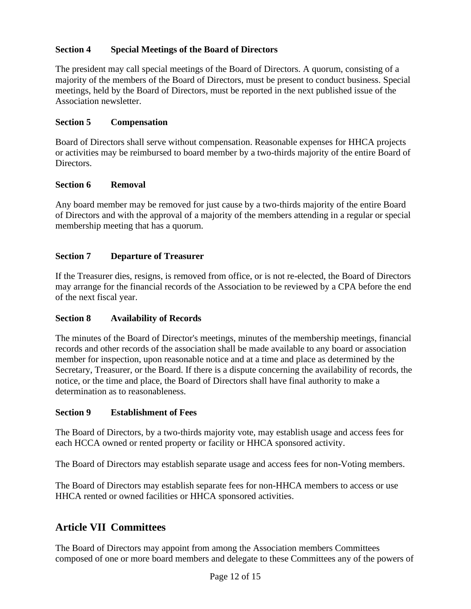## <span id="page-11-0"></span>**Section 4 Special Meetings of the Board of Directors**

The president may call special meetings of the Board of Directors. A quorum, consisting of a majority of the members of the Board of Directors, must be present to conduct business. Special meetings, held by the Board of Directors, must be reported in the next published issue of the Association newsletter.

#### <span id="page-11-1"></span>**Section 5 Compensation**

Board of Directors shall serve without compensation. Reasonable expenses for HHCA projects or activities may be reimbursed to board member by a two-thirds majority of the entire Board of Directors.

#### <span id="page-11-2"></span>**Section 6 Removal**

Any board member may be removed for just cause by a two-thirds majority of the entire Board of Directors and with the approval of a majority of the members attending in a regular or special membership meeting that has a quorum.

## <span id="page-11-3"></span>**Section 7 Departure of Treasurer**

If the Treasurer dies, resigns, is removed from office, or is not re-elected, the Board of Directors may arrange for the financial records of the Association to be reviewed by a CPA before the end of the next fiscal year.

## <span id="page-11-4"></span>**Section 8 Availability of Records**

The minutes of the Board of Director's meetings, minutes of the membership meetings, financial records and other records of the association shall be made available to any board or association member for inspection, upon reasonable notice and at a time and place as determined by the Secretary, Treasurer, or the Board. If there is a dispute concerning the availability of records, the notice, or the time and place, the Board of Directors shall have final authority to make a determination as to reasonableness.

#### <span id="page-11-5"></span>**Section 9 Establishment of Fees**

The Board of Directors, by a two-thirds majority vote, may establish usage and access fees for each HCCA owned or rented property or facility or HHCA sponsored activity.

The Board of Directors may establish separate usage and access fees for non-Voting members.

The Board of Directors may establish separate fees for non-HHCA members to access or use HHCA rented or owned facilities or HHCA sponsored activities.

# <span id="page-11-6"></span>**Article VII Committees**

The Board of Directors may appoint from among the Association members Committees composed of one or more board members and delegate to these Committees any of the powers of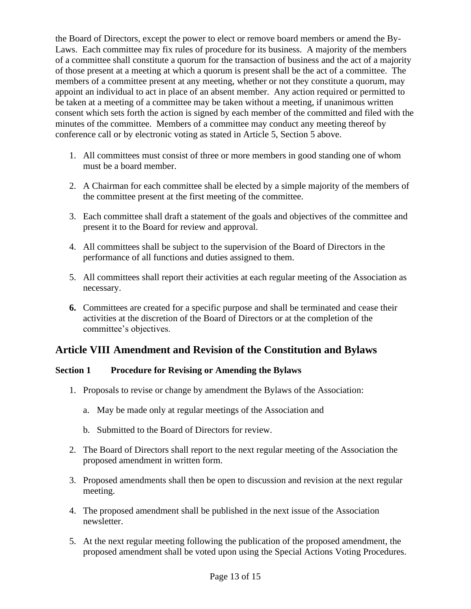the Board of Directors, except the power to elect or remove board members or amend the By-Laws. Each committee may fix rules of procedure for its business. A majority of the members of a committee shall constitute a quorum for the transaction of business and the act of a majority of those present at a meeting at which a quorum is present shall be the act of a committee. The members of a committee present at any meeting, whether or not they constitute a quorum, may appoint an individual to act in place of an absent member. Any action required or permitted to be taken at a meeting of a committee may be taken without a meeting, if unanimous written consent which sets forth the action is signed by each member of the committed and filed with the minutes of the committee. Members of a committee may conduct any meeting thereof by conference call or by electronic voting as stated in Article 5, Section 5 above.

- 1. All committees must consist of three or more members in good standing one of whom must be a board member.
- 2. A Chairman for each committee shall be elected by a simple majority of the members of the committee present at the first meeting of the committee.
- 3. Each committee shall draft a statement of the goals and objectives of the committee and present it to the Board for review and approval.
- 4. All committees shall be subject to the supervision of the Board of Directors in the performance of all functions and duties assigned to them.
- 5. All committees shall report their activities at each regular meeting of the Association as necessary.
- **6.** Committees are created for a specific purpose and shall be terminated and cease their activities at the discretion of the Board of Directors or at the completion of the committee's objectives.

# <span id="page-12-0"></span>**Article VIII Amendment and Revision of the Constitution and Bylaws**

## <span id="page-12-1"></span>**Section 1 Procedure for Revising or Amending the Bylaws**

- 1. Proposals to revise or change by amendment the Bylaws of the Association:
	- a. May be made only at regular meetings of the Association and
	- b. Submitted to the Board of Directors for review.
- 2. The Board of Directors shall report to the next regular meeting of the Association the proposed amendment in written form.
- 3. Proposed amendments shall then be open to discussion and revision at the next regular meeting.
- 4. The proposed amendment shall be published in the next issue of the Association newsletter.
- 5. At the next regular meeting following the publication of the proposed amendment, the proposed amendment shall be voted upon using the Special Actions Voting Procedures.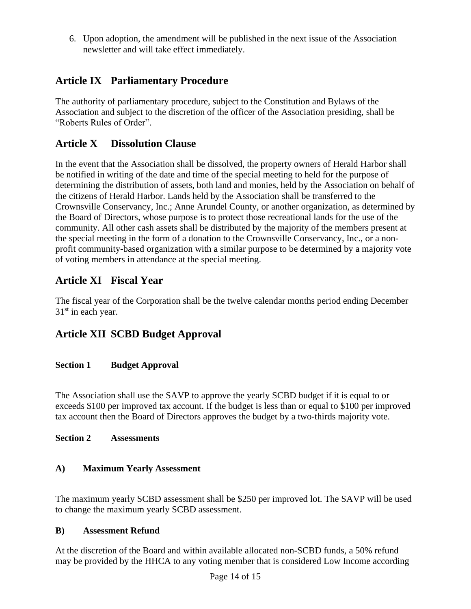6. Upon adoption, the amendment will be published in the next issue of the Association newsletter and will take effect immediately.

# <span id="page-13-0"></span>**Article IX Parliamentary Procedure**

The authority of parliamentary procedure, subject to the Constitution and Bylaws of the Association and subject to the discretion of the officer of the Association presiding, shall be "Roberts Rules of Order".

# <span id="page-13-1"></span>**Article X Dissolution Clause**

In the event that the Association shall be dissolved, the property owners of Herald Harbor shall be notified in writing of the date and time of the special meeting to held for the purpose of determining the distribution of assets, both land and monies, held by the Association on behalf of the citizens of Herald Harbor. Lands held by the Association shall be transferred to the Crownsville Conservancy, Inc.; Anne Arundel County, or another organization, as determined by the Board of Directors, whose purpose is to protect those recreational lands for the use of the community. All other cash assets shall be distributed by the majority of the members present at the special meeting in the form of a donation to the Crownsville Conservancy, Inc., or a nonprofit community-based organization with a similar purpose to be determined by a majority vote of voting members in attendance at the special meeting.

# <span id="page-13-2"></span>**Article XI Fiscal Year**

The fiscal year of the Corporation shall be the twelve calendar months period ending December 31<sup>st</sup> in each year.

# <span id="page-13-3"></span>**Article XII SCBD Budget Approval**

## <span id="page-13-4"></span>**Section 1 Budget Approval**

The Association shall use the SAVP to approve the yearly SCBD budget if it is equal to or exceeds \$100 per improved tax account. If the budget is less than or equal to \$100 per improved tax account then the Board of Directors approves the budget by a two-thirds majority vote.

## <span id="page-13-5"></span>**Section 2 Assessments**

## <span id="page-13-6"></span>**A) Maximum Yearly Assessment**

The maximum yearly SCBD assessment shall be \$250 per improved lot. The SAVP will be used to change the maximum yearly SCBD assessment.

## <span id="page-13-7"></span>**B) Assessment Refund**

At the discretion of the Board and within available allocated non-SCBD funds, a 50% refund may be provided by the HHCA to any voting member that is considered Low Income according